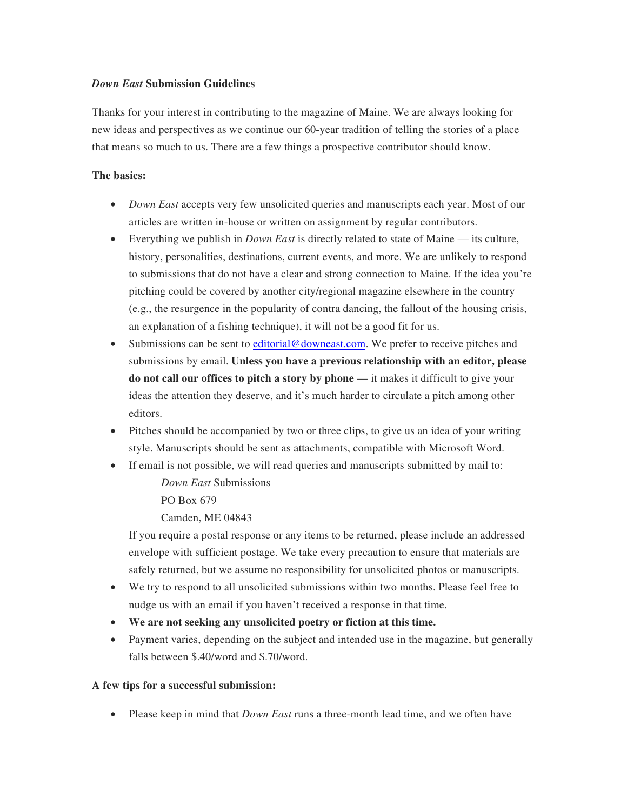### *Down East* **Submission Guidelines**

Thanks for your interest in contributing to the magazine of Maine. We are always looking for new ideas and perspectives as we continue our 60-year tradition of telling the stories of a place that means so much to us. There are a few things a prospective contributor should know.

## **The basics:**

- *Down East* accepts very few unsolicited queries and manuscripts each year. Most of our articles are written in-house or written on assignment by regular contributors.
- Everything we publish in *Down East* is directly related to state of Maine its culture, history, personalities, destinations, current events, and more. We are unlikely to respond to submissions that do not have a clear and strong connection to Maine. If the idea you're pitching could be covered by another city/regional magazine elsewhere in the country (e.g., the resurgence in the popularity of contra dancing, the fallout of the housing crisis, an explanation of a fishing technique), it will not be a good fit for us.
- Submissions can be sent to editorial@downeast.com. We prefer to receive pitches and submissions by email. **Unless you have a previous relationship with an editor, please do not call our offices to pitch a story by phone** — it makes it difficult to give your ideas the attention they deserve, and it's much harder to circulate a pitch among other editors.
- Pitches should be accompanied by two or three clips, to give us an idea of your writing style. Manuscripts should be sent as attachments, compatible with Microsoft Word.
- If email is not possible, we will read queries and manuscripts submitted by mail to: *Down East* Submissions

PO Box 679

Camden, ME 04843

If you require a postal response or any items to be returned, please include an addressed envelope with sufficient postage. We take every precaution to ensure that materials are safely returned, but we assume no responsibility for unsolicited photos or manuscripts.

- We try to respond to all unsolicited submissions within two months. Please feel free to nudge us with an email if you haven't received a response in that time.
- **We are not seeking any unsolicited poetry or fiction at this time.**
- Payment varies, depending on the subject and intended use in the magazine, but generally falls between \$.40/word and \$.70/word.

# **A few tips for a successful submission:**

• Please keep in mind that *Down East* runs a three-month lead time, and we often have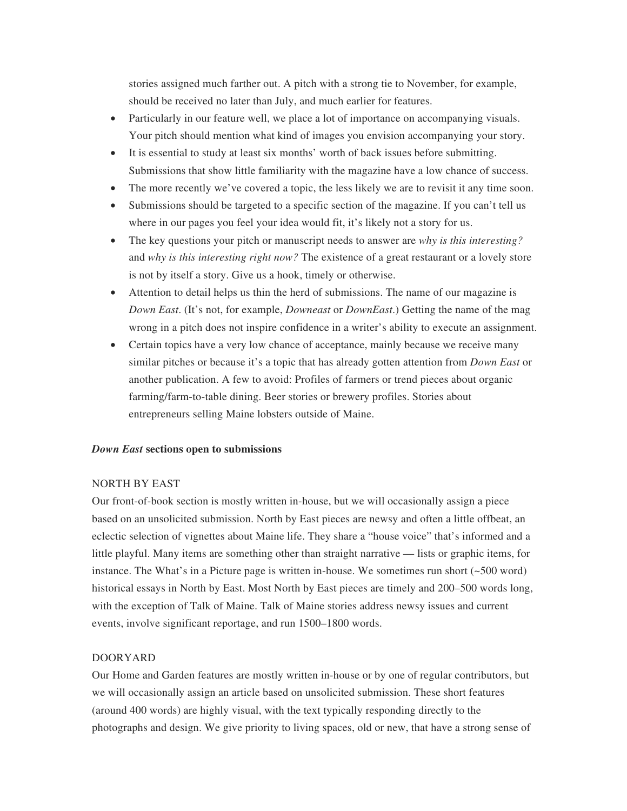stories assigned much farther out. A pitch with a strong tie to November, for example, should be received no later than July, and much earlier for features.

- Particularly in our feature well, we place a lot of importance on accompanying visuals. Your pitch should mention what kind of images you envision accompanying your story.
- It is essential to study at least six months' worth of back issues before submitting. Submissions that show little familiarity with the magazine have a low chance of success.
- The more recently we've covered a topic, the less likely we are to revisit it any time soon.
- Submissions should be targeted to a specific section of the magazine. If you can't tell us where in our pages you feel your idea would fit, it's likely not a story for us.
- The key questions your pitch or manuscript needs to answer are *why is this interesting?*  and *why is this interesting right now?* The existence of a great restaurant or a lovely store is not by itself a story. Give us a hook, timely or otherwise.
- Attention to detail helps us thin the herd of submissions. The name of our magazine is *Down East*. (It's not, for example, *Downeast* or *DownEast*.) Getting the name of the mag wrong in a pitch does not inspire confidence in a writer's ability to execute an assignment.
- Certain topics have a very low chance of acceptance, mainly because we receive many similar pitches or because it's a topic that has already gotten attention from *Down East* or another publication. A few to avoid: Profiles of farmers or trend pieces about organic farming/farm-to-table dining. Beer stories or brewery profiles. Stories about entrepreneurs selling Maine lobsters outside of Maine.

### *Down East* **sections open to submissions**

### NORTH BY EAST

Our front-of-book section is mostly written in-house, but we will occasionally assign a piece based on an unsolicited submission. North by East pieces are newsy and often a little offbeat, an eclectic selection of vignettes about Maine life. They share a "house voice" that's informed and a little playful. Many items are something other than straight narrative — lists or graphic items, for instance. The What's in a Picture page is written in-house. We sometimes run short (~500 word) historical essays in North by East. Most North by East pieces are timely and 200–500 words long, with the exception of Talk of Maine. Talk of Maine stories address newsy issues and current events, involve significant reportage, and run 1500–1800 words.

### DOORYARD

Our Home and Garden features are mostly written in-house or by one of regular contributors, but we will occasionally assign an article based on unsolicited submission. These short features (around 400 words) are highly visual, with the text typically responding directly to the photographs and design. We give priority to living spaces, old or new, that have a strong sense of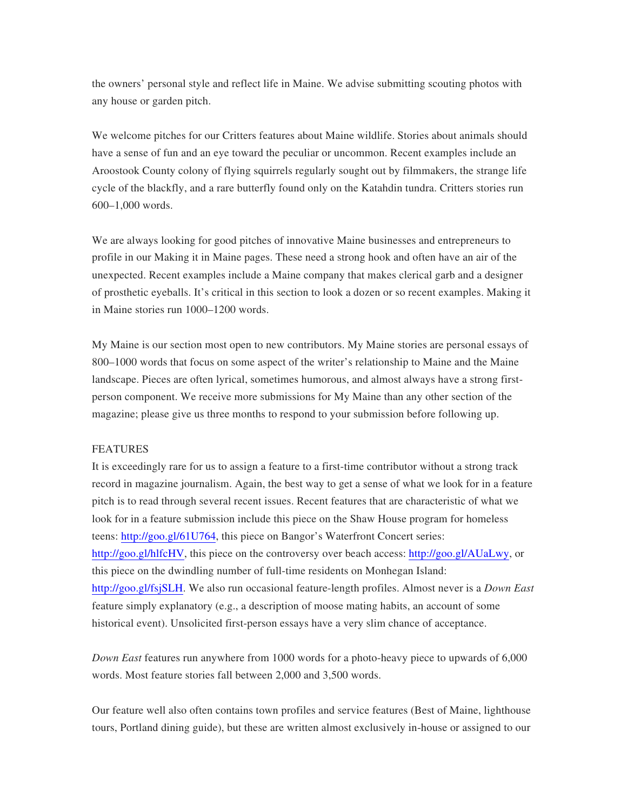the owners' personal style and reflect life in Maine. We advise submitting scouting photos with any house or garden pitch.

We welcome pitches for our Critters features about Maine wildlife. Stories about animals should have a sense of fun and an eye toward the peculiar or uncommon. Recent examples include an Aroostook County colony of flying squirrels regularly sought out by filmmakers, the strange life cycle of the blackfly, and a rare butterfly found only on the Katahdin tundra. Critters stories run 600–1,000 words.

We are always looking for good pitches of innovative Maine businesses and entrepreneurs to profile in our Making it in Maine pages. These need a strong hook and often have an air of the unexpected. Recent examples include a Maine company that makes clerical garb and a designer of prosthetic eyeballs. It's critical in this section to look a dozen or so recent examples. Making it in Maine stories run 1000–1200 words.

My Maine is our section most open to new contributors. My Maine stories are personal essays of 800–1000 words that focus on some aspect of the writer's relationship to Maine and the Maine landscape. Pieces are often lyrical, sometimes humorous, and almost always have a strong firstperson component. We receive more submissions for My Maine than any other section of the magazine; please give us three months to respond to your submission before following up.

#### FEATURES

It is exceedingly rare for us to assign a feature to a first-time contributor without a strong track record in magazine journalism. Again, the best way to get a sense of what we look for in a feature pitch is to read through several recent issues. Recent features that are characteristic of what we look for in a feature submission include this piece on the Shaw House program for homeless teens: http://goo.gl/61U764, this piece on Bangor's Waterfront Concert series: http://goo.gl/hlfcHV, this piece on the controversy over beach access: http://goo.gl/AUaLwy, or this piece on the dwindling number of full-time residents on Monhegan Island: http://goo.gl/fsjSLH. We also run occasional feature-length profiles. Almost never is a *Down East*  feature simply explanatory (e.g., a description of moose mating habits, an account of some historical event). Unsolicited first-person essays have a very slim chance of acceptance.

*Down East* features run anywhere from 1000 words for a photo-heavy piece to upwards of 6,000 words. Most feature stories fall between 2,000 and 3,500 words.

Our feature well also often contains town profiles and service features (Best of Maine, lighthouse tours, Portland dining guide), but these are written almost exclusively in-house or assigned to our